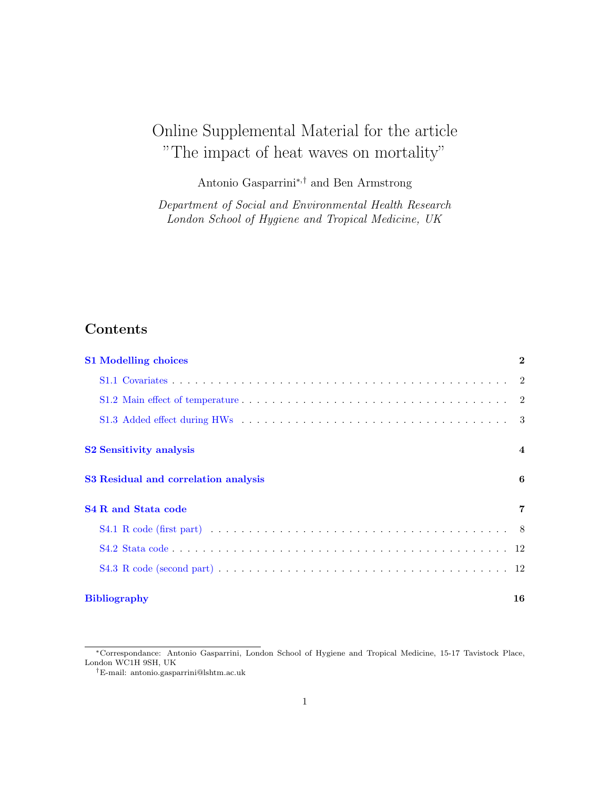# Online Supplemental Material for the article "The impact of heat waves on mortality"

Antonio Gasparrini<sup>∗</sup>,† and Ben Armstrong

Department of Social and Environmental Health Research London School of Hygiene and Tropical Medicine, UK

# Contents

| <b>S1</b> Modelling choices          | $\mathbf{2}$   |
|--------------------------------------|----------------|
|                                      |                |
|                                      |                |
|                                      |                |
| <b>S2 Sensitivity analysis</b>       | $\overline{4}$ |
| S3 Residual and correlation analysis | 6              |
| <b>S4 R and Stata code</b>           | $\overline{7}$ |
|                                      |                |
|                                      |                |
|                                      |                |
| <b>Bibliography</b>                  | 16             |

<sup>∗</sup>Correspondance: Antonio Gasparrini, London School of Hygiene and Tropical Medicine, 15-17 Tavistock Place, London WC1H 9SH, UK

<sup>†</sup>E-mail: antonio.gasparrini@lshtm.ac.uk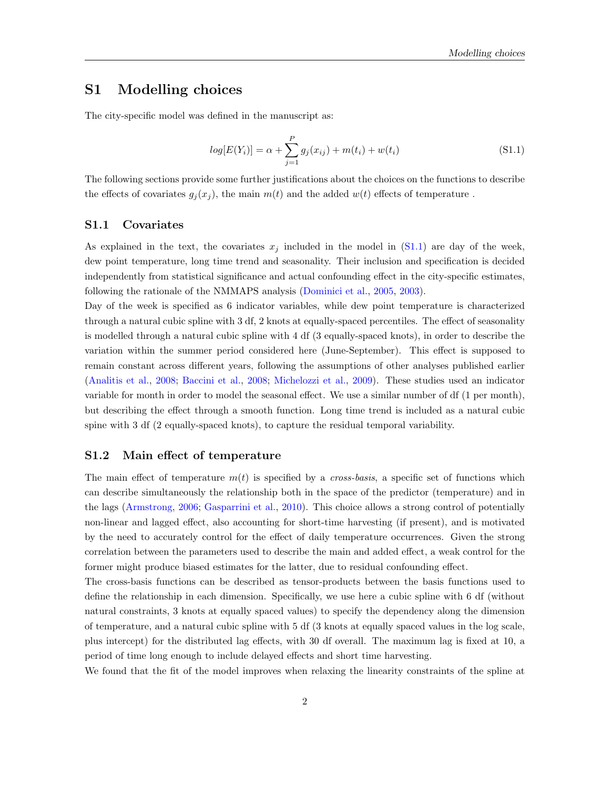## <span id="page-1-0"></span>S1 Modelling choices

<span id="page-1-3"></span>The city-specific model was defined in the manuscript as:

$$
log[E(Y_i)] = \alpha + \sum_{j=1}^{P} g_j(x_{ij}) + m(t_i) + w(t_i)
$$
\n(S1.1)

The following sections provide some further justifications about the choices on the functions to describe the effects of covariates  $g_j(x_j)$ , the main  $m(t)$  and the added  $w(t)$  effects of temperature.

#### <span id="page-1-1"></span>S1.1 Covariates

As explained in the text, the covariates  $x_j$  included in the model in [\(S1.1\)](#page-1-3) are day of the week, dew point temperature, long time trend and seasonality. Their inclusion and specification is decided independently from statistical significance and actual confounding effect in the city-specific estimates, following the rationale of the NMMAPS analysis [\(Dominici et al.,](#page-14-1) [2005,](#page-14-1) [2003\)](#page-14-2).

Day of the week is specified as 6 indicator variables, while dew point temperature is characterized through a natural cubic spline with 3 df, 2 knots at equally-spaced percentiles. The effect of seasonality is modelled through a natural cubic spline with 4 df (3 equally-spaced knots), in order to describe the variation within the summer period considered here (June-September). This effect is supposed to remain constant across different years, following the assumptions of other analyses published earlier [\(Analitis et al.,](#page-14-3) [2008;](#page-14-3) [Baccini et al.,](#page-14-4) [2008;](#page-14-4) [Michelozzi et al.,](#page-15-0) [2009\)](#page-15-0). These studies used an indicator variable for month in order to model the seasonal effect. We use a similar number of df (1 per month), but describing the effect through a smooth function. Long time trend is included as a natural cubic spine with 3 df (2 equally-spaced knots), to capture the residual temporal variability.

#### <span id="page-1-2"></span>S1.2 Main effect of temperature

The main effect of temperature  $m(t)$  is specified by a *cross-basis*, a specific set of functions which can describe simultaneously the relationship both in the space of the predictor (temperature) and in the lags [\(Armstrong,](#page-14-5) [2006;](#page-14-5) [Gasparrini et al.,](#page-14-6) [2010\)](#page-14-6). This choice allows a strong control of potentially non-linear and lagged effect, also accounting for short-time harvesting (if present), and is motivated by the need to accurately control for the effect of daily temperature occurrences. Given the strong correlation between the parameters used to describe the main and added effect, a weak control for the former might produce biased estimates for the latter, due to residual confounding effect.

The cross-basis functions can be described as tensor-products between the basis functions used to define the relationship in each dimension. Specifically, we use here a cubic spline with 6 df (without natural constraints, 3 knots at equally spaced values) to specify the dependency along the dimension of temperature, and a natural cubic spline with 5 df (3 knots at equally spaced values in the log scale, plus intercept) for the distributed lag effects, with 30 df overall. The maximum lag is fixed at 10, a period of time long enough to include delayed effects and short time harvesting.

We found that the fit of the model improves when relaxing the linearity constraints of the spline at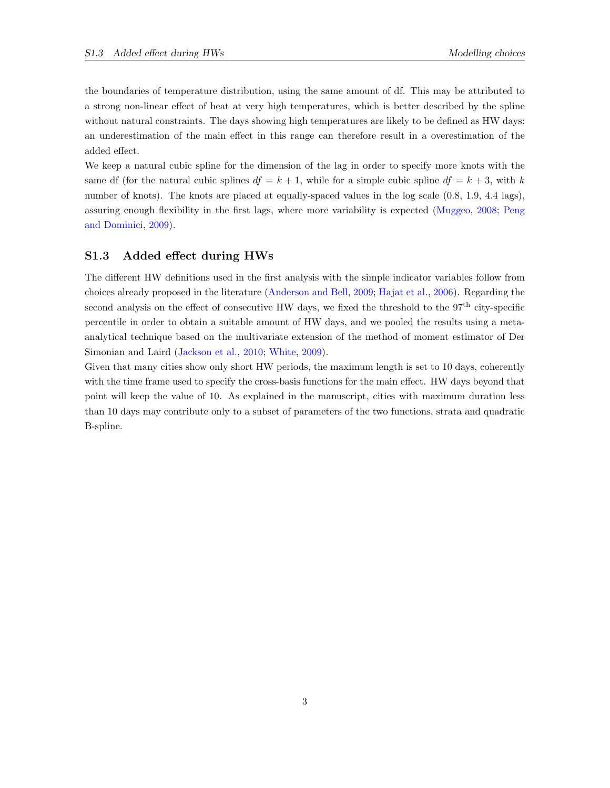the boundaries of temperature distribution, using the same amount of df. This may be attributed to a strong non-linear effect of heat at very high temperatures, which is better described by the spline without natural constraints. The days showing high temperatures are likely to be defined as HW days: an underestimation of the main effect in this range can therefore result in a overestimation of the added effect.

We keep a natural cubic spline for the dimension of the lag in order to specify more knots with the same df (for the natural cubic splines  $df = k + 1$ , while for a simple cubic spline  $df = k + 3$ , with k number of knots). The knots are placed at equally-spaced values in the log scale  $(0.8, 1.9, 4.4 \text{ lags})$ , assuring enough flexibility in the first lags, where more variability is expected [\(Muggeo,](#page-15-1) [2008;](#page-15-1) [Peng](#page-15-2) [and Dominici,](#page-15-2) [2009\)](#page-15-2).

#### <span id="page-2-0"></span>S1.3 Added effect during HWs

The different HW definitions used in the first analysis with the simple indicator variables follow from choices already proposed in the literature [\(Anderson and Bell,](#page-14-7) [2009;](#page-14-7) [Hajat et al.,](#page-14-8) [2006\)](#page-14-8). Regarding the second analysis on the effect of consecutive HW days, we fixed the threshold to the 97<sup>th</sup> city-specific percentile in order to obtain a suitable amount of HW days, and we pooled the results using a metaanalytical technique based on the multivariate extension of the method of moment estimator of Der Simonian and Laird [\(Jackson et al.,](#page-14-9) [2010;](#page-14-9) [White,](#page-15-3) [2009\)](#page-15-3).

Given that many cities show only short HW periods, the maximum length is set to 10 days, coherently with the time frame used to specify the cross-basis functions for the main effect. HW days beyond that point will keep the value of 10. As explained in the manuscript, cities with maximum duration less than 10 days may contribute only to a subset of parameters of the two functions, strata and quadratic B-spline.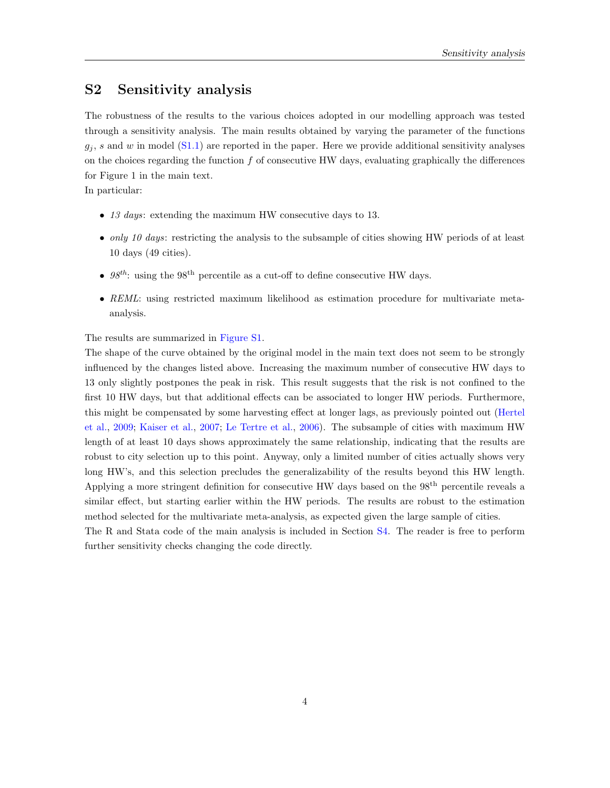## <span id="page-3-0"></span>S2 Sensitivity analysis

The robustness of the results to the various choices adopted in our modelling approach was tested through a sensitivity analysis. The main results obtained by varying the parameter of the functions  $g_i$ , s and w in model [\(S1.1\)](#page-1-3) are reported in the paper. Here we provide additional sensitivity analyses on the choices regarding the function  $f$  of consecutive HW days, evaluating graphically the differences for Figure 1 in the main text.

In particular:

- 13 days: extending the maximum HW consecutive days to 13.
- only 10 days: restricting the analysis to the subsample of cities showing HW periods of at least 10 days (49 cities).
- $98^{th}$ : using the 98<sup>th</sup> percentile as a cut-off to define consecutive HW days.
- REML: using restricted maximum likelihood as estimation procedure for multivariate metaanalysis.

The results are summarized in [Figure S1.](#page-4-0)

The shape of the curve obtained by the original model in the main text does not seem to be strongly influenced by the changes listed above. Increasing the maximum number of consecutive HW days to 13 only slightly postpones the peak in risk. This result suggests that the risk is not confined to the first 10 HW days, but that additional effects can be associated to longer HW periods. Furthermore, this might be compensated by some harvesting effect at longer lags, as previously pointed out [\(Hertel](#page-14-10) [et al.,](#page-14-10) [2009;](#page-14-10) [Kaiser et al.,](#page-14-11) [2007;](#page-14-11) [Le Tertre et al.,](#page-14-12) [2006\)](#page-14-12). The subsample of cities with maximum HW length of at least 10 days shows approximately the same relationship, indicating that the results are robust to city selection up to this point. Anyway, only a limited number of cities actually shows very long HW's, and this selection precludes the generalizability of the results beyond this HW length. Applying a more stringent definition for consecutive HW days based on the 98<sup>th</sup> percentile reveals a similar effect, but starting earlier within the HW periods. The results are robust to the estimation method selected for the multivariate meta-analysis, as expected given the large sample of cities.

The R and Stata code of the main analysis is included in Section [S4.](#page-6-0) The reader is free to perform further sensitivity checks changing the code directly.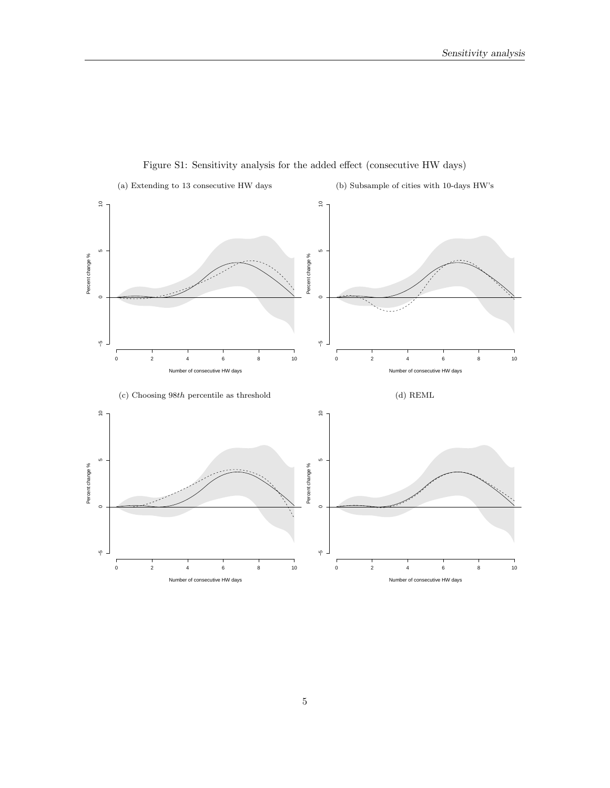<span id="page-4-0"></span>

Figure S1: Sensitivity analysis for the added effect (consecutive HW days)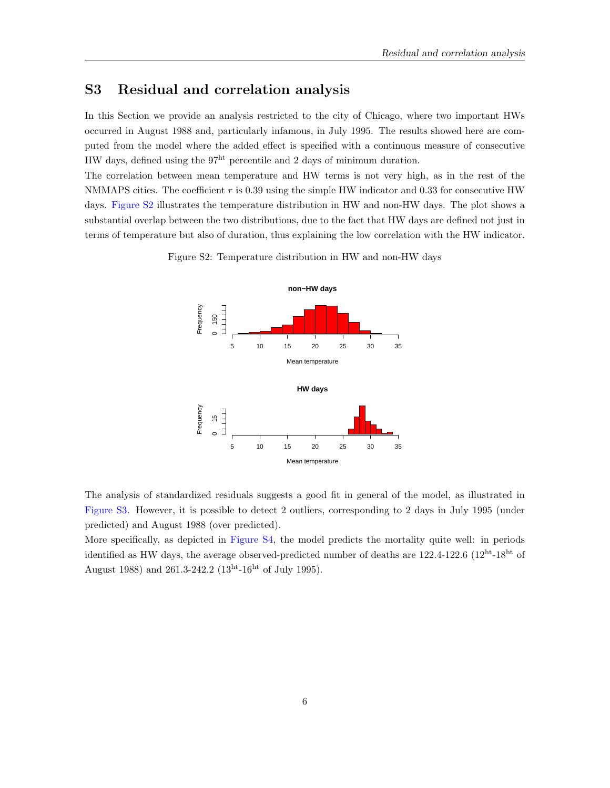## <span id="page-5-0"></span>S3 Residual and correlation analysis

In this Section we provide an analysis restricted to the city of Chicago, where two important HWs occurred in August 1988 and, particularly infamous, in July 1995. The results showed here are computed from the model where the added effect is specified with a continuous measure of consecutive HW days, defined using the  $97<sup>ht</sup>$  percentile and 2 days of minimum duration.

<span id="page-5-1"></span>The correlation between mean temperature and HW terms is not very high, as in the rest of the NMMAPS cities. The coefficient  $r$  is 0.39 using the simple HW indicator and 0.33 for consecutive HW days. [Figure S2](#page-5-1) illustrates the temperature distribution in HW and non-HW days. The plot shows a substantial overlap between the two distributions, due to the fact that HW days are defined not just in terms of temperature but also of duration, thus explaining the low correlation with the HW indicator.

Figure S2: Temperature distribution in HW and non-HW days



The analysis of standardized residuals suggests a good fit in general of the model, as illustrated in [Figure S3.](#page-6-1) However, it is possible to detect 2 outliers, corresponding to 2 days in July 1995 (under predicted) and August 1988 (over predicted).

More specifically, as depicted in [Figure S4,](#page-6-2) the model predicts the mortality quite well: in periods identified as HW days, the average observed-predicted number of deaths are 122.4-122.6 (12<sup>ht</sup>-18<sup>ht</sup> of August 1988) and 261.3-242.2  $(13^{ht} - 16^{ht}$  of July 1995).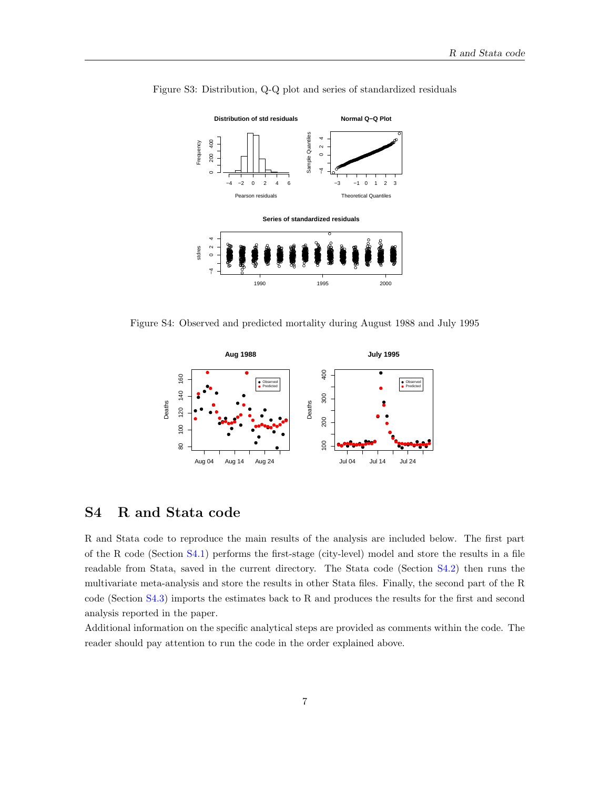

<span id="page-6-1"></span>Figure S3: Distribution, Q-Q plot and series of standardized residuals

<span id="page-6-2"></span>Figure S4: Observed and predicted mortality during August 1988 and July 1995



# <span id="page-6-0"></span>S4 R and Stata code

R and Stata code to reproduce the main results of the analysis are included below. The first part of the R code (Section [S4.1\)](#page-7-0) performs the first-stage (city-level) model and store the results in a file readable from Stata, saved in the current directory. The Stata code (Section [S4.2\)](#page-11-0) then runs the multivariate meta-analysis and store the results in other Stata files. Finally, the second part of the R code (Section [S4.3\)](#page-11-1) imports the estimates back to R and produces the results for the first and second analysis reported in the paper.

Additional information on the specific analytical steps are provided as comments within the code. The reader should pay attention to run the code in the order explained above.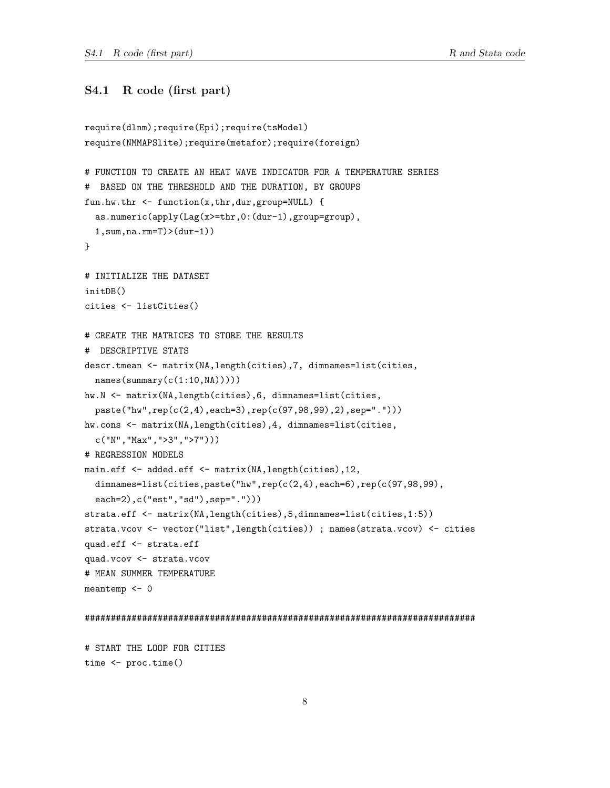## <span id="page-7-0"></span>S4.1 R code (first part)

```
require(dlnm);require(Epi);require(tsModel)
require(NMMAPSlite);require(metafor);require(foreign)
# FUNCTION TO CREATE AN HEAT WAVE INDICATOR FOR A TEMPERATURE SERIES
# BASED ON THE THRESHOLD AND THE DURATION, BY GROUPS
fun.hw.thr \leq function(x,thr,dur,group=NULL) {
  as.numeric(apply(Lag(x>=thr,0:(dur-1),group=group),
  1,sum,na.rm=T)>(dur-1))
}
# INITIALIZE THE DATASET
initDB()
cities <- listCities()
# CREATE THE MATRICES TO STORE THE RESULTS
# DESCRIPTIVE STATS
descr.tmean <- matrix(NA,length(cities),7, dimnames=list(cities,
  names(summary(c(1:10,NA))))hw.N <- matrix(NA,length(cities),6, dimnames=list(cities,
  paste("hw",rep(c(2,4),each=3),rep(c(97,98,99),2),sep=".")))
hw.cons <- matrix(NA,length(cities),4, dimnames=list(cities,
  c("N","Max",">3",">7")))
# REGRESSION MODELS
main.eff <- added.eff <- matrix(NA,length(cities),12,
  dimnames=list(cities,paste("hw",rep(c(2,4),each=6),rep(c(97,98,99),
  each=2),c("est","sd"),sep=".")))
strata.eff <- matrix(NA,length(cities),5,dimnames=list(cities,1:5))
strata.vcov <- vector("list",length(cities)) ; names(strata.vcov) <- cities
quad.eff <- strata.eff
quad.vcov <- strata.vcov
# MEAN SUMMER TEMPERATURE
meantemp <- 0
###########################################################################
```
# START THE LOOP FOR CITIES time <- proc.time()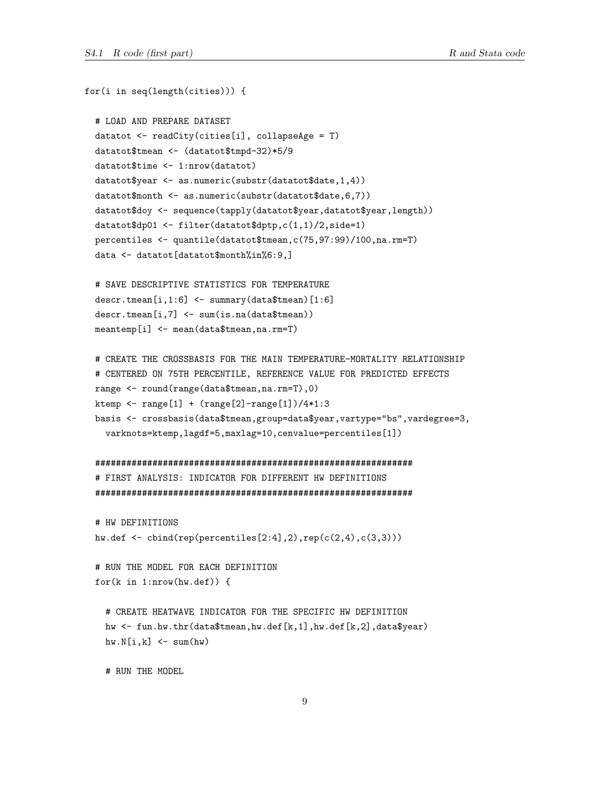$for(i in seq(length(cities)))$  {

```
# LOAD AND PREPARE DATASET
datatot <- readCity(cities[i], collapseAge = T)
datatot$tmean <- (datatot$tmpd-32)*5/9
datatot$time <- 1:nrow(datatot)
datatot$year <- as.numeric(substr(datatot$date,1,4))
datatot$month <- as.numeric(substr(datatot$date,6,7))
datatot$doy <- sequence(tapply(datatot$year,datatot$year,length))
datatot\dp01 <- filter(datatot$dptp,c(1,1)/2,side=1)
percentiles <- quantile(datatot$tmean, c(75, 97:99)/100, na. rm=T)
data <- datatot[datatot$month%in%6:9,]
# SAVE DESCRIPTIVE STATISTICS FOR TEMPERATURE
descr.tmean[i,1:6] <- summary(data$tmean)[1:6]
descr. tmean[i, 7] < -sum(is.na(data$tmean))meantemp[i] <- mean(data$tmean, na.rm=T)
# CREATE THE CROSSBASIS FOR THE MAIN TEMPERATURE-MORTALITY RELATIONSHIP
# CENTERED ON 75TH PERCENTILE, REFERENCE VALUE FOR PREDICTED EFFECTS
range <- round(range(data$tmean, na.rm=T), 0)
ktemp <- range[1] + (range[2] - range[1])/4*1:3basis <- crossbasis(data$tmean, group=data$year, vartype="bs", vardegree=3,
  varknots=ktemp, lagdf=5, maxlag=10, cenvalue=percentiles[1])
# FIRST ANALYSIS: INDICATOR FOR DIFFERENT HW DEFINITIONS
# HW DEFINITIONS
hw.def \le cbind(rep(percentiles[2:4],2),rep(c(2,4),c(3,3)))
# RUN THE MODEL FOR EACH DEFINITION
for(k in 1: nrow(hw.def)) {
 # CREATE HEATWAVE INDICATOR FOR THE SPECIFIC HW DEFINITION
 hw \le fun.hw.thr(data$tmean,hw.def[k,1],hw.def[k,2],data$year)
 hw.N[i,k] < - sum(hw)# RUN THE MODEL.
```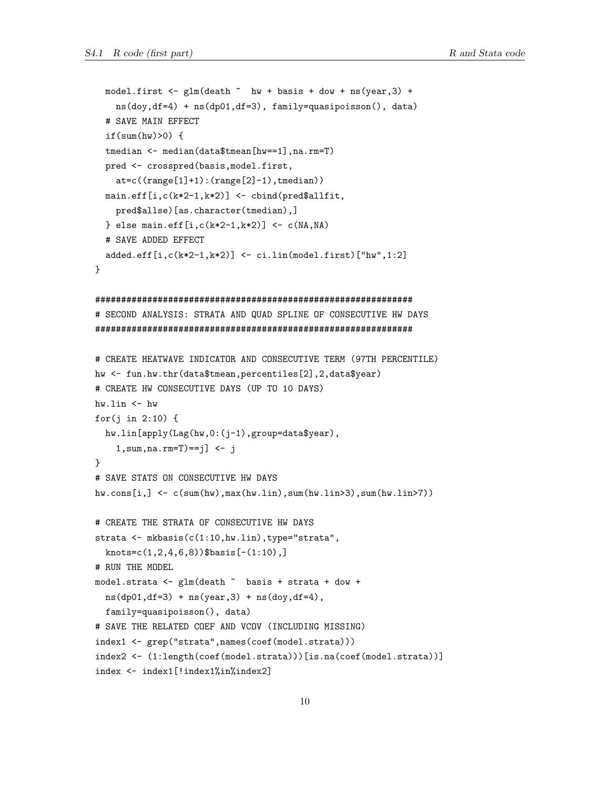```
model.first \leftarrow glm(death \sim hw + basis + dow + ns(year, 3) +
   ns(doy, df=4) + ns(dp01, df=3), family=quasipoisson(), data)
 # SAVE MAIN EFFECT
  if(sum(hw)>0) {
 tmedian <- median(data$tmean[hw==1], na.rm=T)
 pred <- crosspred(basis, model.first,
   at=c((range[1]+1):(range[2]-1),tmedian))main.eff[i, c(k*2-1, k*2)] <- cbind(pred$allfit,
   pred$allse)[as.character(tmedian),]
 } else main.eff[i, c(k*2-1, k*2)] <- c(NA, NA)# SAVE ADDED EFFECT
 added.eff[i,c(k*2-1,k*2)] \leftarrow ci.lin(model.first)["hw", 1:2]<sup>}</sup>
# SECOND ANALYSIS: STRATA AND QUAD SPLINE OF CONSECUTIVE HW DAYS
# CREATE HEATWAVE INDICATOR AND CONSECUTIVE TERM (97TH PERCENTILE)
hw <- fun.hw.thr(data$tmean,percentiles[2],2,data$year)
# CREATE HW CONSECUTIVE DAYS (UP TO 10 DAYS)
hw.lin \leftarrow hwfor(j in 2:10) {
 hw.lin[apply(Lag(hw, 0: (j-1), group=data$year),
   1, sum, na. rm=T==j] <- j
\mathcal{L}# SAVE STATS ON CONSECUTIVE HW DAYS
hw.com[1, ] \leftarrow c(sum(hw), max(hw.lin), sum(hw.lin>3), sum(hw.lin>7))# CREATE THE STRATA OF CONSECUTIVE HW DAYS
strata <- mkbasis(c(1:10,hw.lin),type="strata",knots=c(1,2,4,6,8))$basis[-(1:10),]
# RUN THE MODEL
model.strata <- glm(death ~ basis + strata + dow +
 ns(dp01, df=3) + ns(year, 3) + ns(doy, df=4),family=quasipoisson(), data)
# SAVE THE RELATED COEF AND VCOV (INCLUDING MISSING)
index1 <- grep("strata", names(coef(model.strata)))
index2 <- (1:length(coef(model.strata)))[is.na(coef(model.strata))]
index <- index1[!index1%in%index2]
```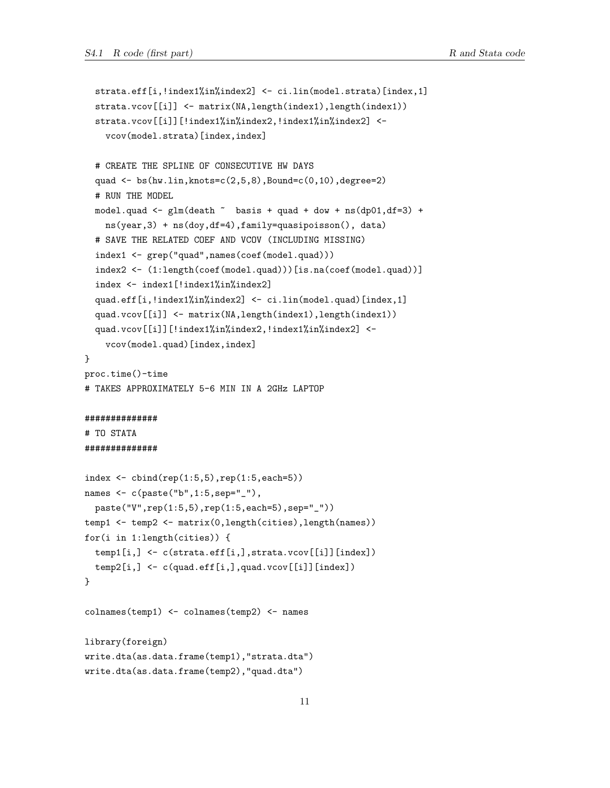```
strata.eff[i,!index1%in%index2] <- ci.lin(model.strata)[index,1]
  strata.vcov[[i]] <- matrix(NA,length(index1),length(index1))
  strata.vcov[[i]][!index1%in%index2,!index1%in%index2] <-
    vcov(model.strata)[index,index]
  # CREATE THE SPLINE OF CONSECUTIVE HW DAYS
  quad \leq bs(hw.lin, knots=c(2,5,8), Bound=c(0,10), degree=2)
  # RUN THE MODEL
  model.quad \leq glm(death \sim basis + quad + dow + ns(dp01,df=3) +
    ns(year,3) + ns(doy,df=4),family=quasipoisson(), data)
  # SAVE THE RELATED COEF AND VCOV (INCLUDING MISSING)
  index1 <- grep("quad",names(coef(model.quad)))
  index2 <- (1:length(coef(model.quad)))[is.na(coef(model.quad))]
  index <- index1[!index1%in%index2]
  quad.eff[i,!index1%in%index2] <- ci.lin(model.quad)[index,1]
  quad.vcov[[i]] <- matrix(NA,length(index1),length(index1))
  quad.vcov[[i]][!index1%in%index2,!index1%in%index2] <-
    vcov(model.quad)[index,index]
}
proc.time()-time
# TAKES APPROXIMATELY 5-6 MIN IN A 2GHz LAPTOP
##############
# TO STATA
##############
index <- cbind(rep(1:5,5),rep(1:5,each=5))
names <- c(paste("b",1:5,sep="_"),
  paste("V",rep(1:5,5),rep(1:5,each=5),sep="_"))
temp1 <- temp2 <- matrix(0,length(cities),length(names))
for(i in 1:length(cities)) {
  temp1[i,] <- c(strata.eff[i,],strata.vcov[[i]][index])
  temp2[i,] <- c(quad.eff[i,],quad.vcov[[i]][index])
}
colnames(temp1) <- colnames(temp2) <- names
library(foreign)
write.dta(as.data.frame(temp1),"strata.dta")
write.dta(as.data.frame(temp2),"quad.dta")
```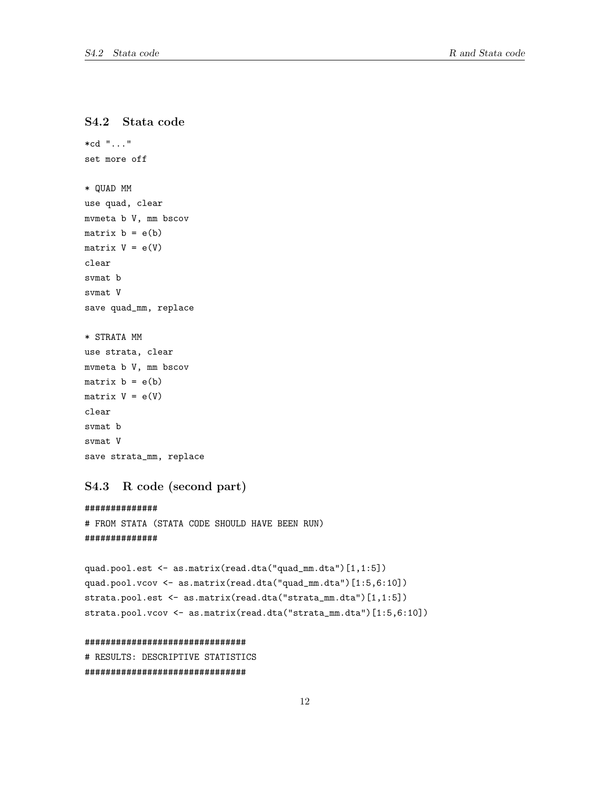## <span id="page-11-0"></span>S4.2 Stata code

```
*cd "..."
set more off
* QUAD MM
use quad, clear
mvmeta b V, mm bscov
matrix b = e(b)matrix V = e(V)clear
svmat b
svmat V
save quad_mm, replace
* STRATA MM
use strata, clear
mvmeta b V, mm bscov
matrix b = e(b)matrix V = e(V)clear
svmat b
svmat V
save strata_mm, replace
```
## <span id="page-11-1"></span>S4.3 R code (second part)

```
##############
# FROM STATA (STATA CODE SHOULD HAVE BEEN RUN)
##############
```

```
quad.pool.est <- as.matrix(read.dta("quad_mm.dta")[1,1:5])
quad.pool.vcov <- as.matrix(read.dta("quad_mm.dta")[1:5,6:10])
strata.pool.est <- as.matrix(read.dta("strata_mm.dta")[1,1:5])
strata.pool.vcov <- as.matrix(read.dta("strata_mm.dta")[1:5,6:10])
```
#### ###############################

# RESULTS: DESCRIPTIVE STATISTICS ###############################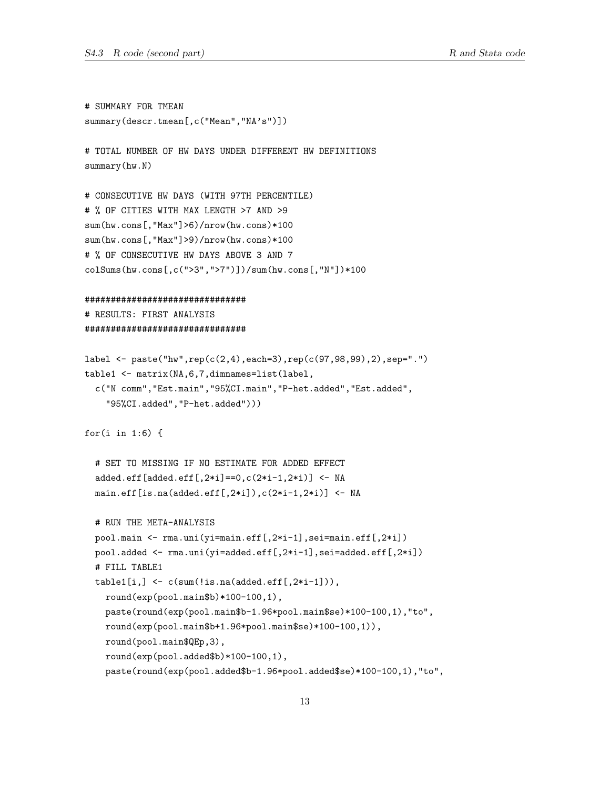```
# SUMMARY FOR TMEAN
summary(descr.tmean[,c("Mean","NA's")])
# TOTAL NUMBER OF HW DAYS UNDER DIFFERENT HW DEFINITIONS
summarv(hw.N)# CONSECUTIVE HW DAYS (WITH 97TH PERCENTILE)
# % OF CITIES WITH MAX LENGTH >7 AND >9
sum(hw \cdot cons[, "Max"] > 6) / nrow(hw \cdot cons) * 100sum(hw \cdot cons[, "Max"] > 9) / nrow(hw \cdot cons) * 100# % OF CONSECUTIVE HW DAYS ABOVE 3 AND 7
colSums(hw.cons[,c(">3",">7")])/sum(hw.cons[,"N"])*100
###############################
# RESULTS: FIRST ANALYSIS
################################
label <- paste("hw", rep(c(2,4), each=3), rep(c(97,98,99), 2), sep=".")
table1 <- matrix(NA, 6, 7, dimnames=list(label,
  c("N comm", "Est.main", "95%CI.main", "P-het.added", "Est.added",
    "95%CI.added", "P-het.added")))
for(i in 1:6) {
  # SET TO MISSING IF NO ESTIMATE FOR ADDED EFFECT
  added.eff[added.eff[,2*ij==0,c(2*i-1,2*i)] <- NA
  main.eff[i s.na (added.eff[, 2*i]), c(2*i-1, 2*i)] <- NA
  # RUN THE META-ANALYSIS
  pool.main <- rma.uni(yi=main.eff[,2*i-1],sei=main.eff[,2*i])
  pool.added <- rma.uni(yi=added.eff[,2*i-1],sei=added.eff[,2*i])
  # FILL TABLE1
  table1[i, ] \leftarrow c(sum(!is.na(added.eff[, 2*i-1])),
    round(exp(pool.mainloop) * 100 - 100, 1),paste(round(exp(pool.main$b-1.96*pool.main$se)*100-100,1),"to",
    round(exp(pool.main$b+1.96*pool.main$se)*100-100,1)),
    round(pool.main$QEp,3),
    round(exp(pool.added$b)*100-100,1),
    paste(round(exp(pool.added$b-1.96*pool.added$se)*100-100,1),"to",
```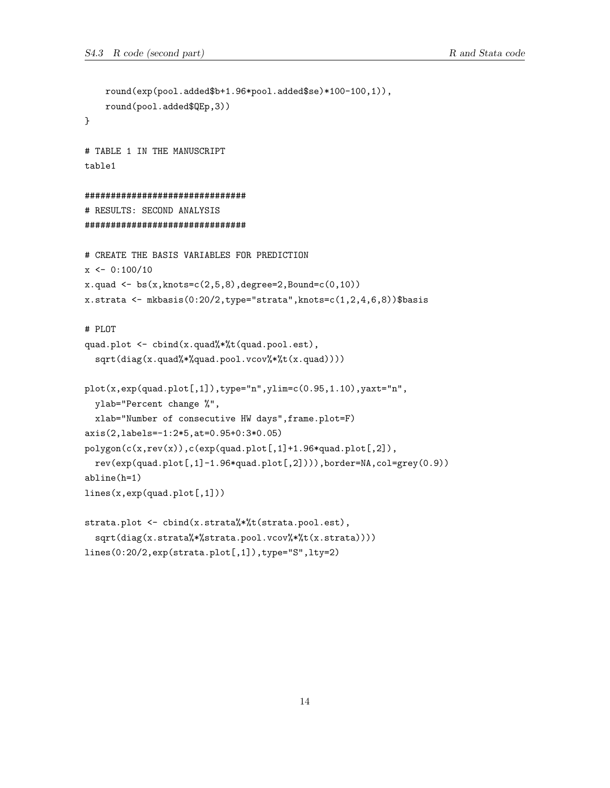```
round(exp(pool.added$b+1.96*pool.added$se)*100-100,1)),
    round(pool.added$QEp,3))
}
# TABLE 1 IN THE MANUSCRIPT
table1
###############################
# RESULTS: SECOND ANALYSIS
###############################
# CREATE THE BASIS VARIABLES FOR PREDICTION
x \leftarrow 0:100/10x.quad < - bs(x,knots=c(2,5,8), degree=2, Bound=c(0,10))
x.strata <- mkbasis(0:20/2,type="strata",knots=c(1,2,4,6,8))$basis
# PLOT
quad.plot <- cbind(x.quad%*%t(quad.pool.est),
  sqrt(diag(x.quad%*%quad.pool.vcov%*%t(x.quad))))
plot(x,exp(quad.plot[,1]),type="n",ylim=c(0.95,1.10),yaxt="n",
  ylab="Percent change %",
  xlab="Number of consecutive HW days",frame.plot=F)
axis(2,labels=-1:2*5,at=0.95+0:3*0.05)
polygon(c(x,rev(x)),c(exp(quad.plot[,1]+1.96*quad.plot[,2]),
  rev(exp(quad.plot[,1]-1.96*quad.plot[,2]))),border=NA,col=grey(0.9))
abline(h=1)
lines(x,exp(quad.plot[,1]))
strata.plot <- cbind(x.strata%*%t(strata.pool.est),
  sqrt(diag(x.strata%*%strata.pool.vcov%*%t(x.strata))))
lines(0:20/2,exp(strata.plot[,1]),type="S",lty=2)
```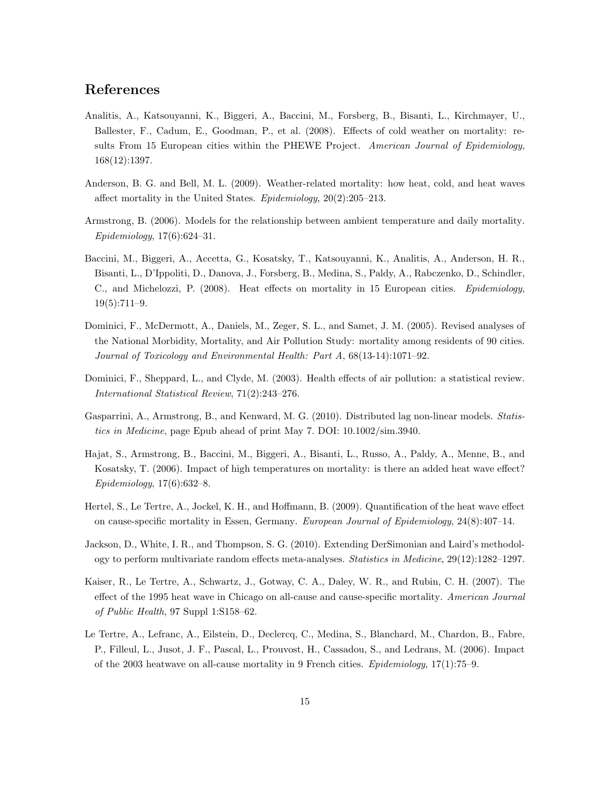## References

- <span id="page-14-3"></span><span id="page-14-0"></span>Analitis, A., Katsouyanni, K., Biggeri, A., Baccini, M., Forsberg, B., Bisanti, L., Kirchmayer, U., Ballester, F., Cadum, E., Goodman, P., et al. (2008). Effects of cold weather on mortality: results From 15 European cities within the PHEWE Project. American Journal of Epidemiology, 168(12):1397.
- <span id="page-14-7"></span>Anderson, B. G. and Bell, M. L. (2009). Weather-related mortality: how heat, cold, and heat waves affect mortality in the United States. Epidemiology, 20(2):205–213.
- <span id="page-14-5"></span>Armstrong, B. (2006). Models for the relationship between ambient temperature and daily mortality. Epidemiology, 17(6):624–31.
- <span id="page-14-4"></span>Baccini, M., Biggeri, A., Accetta, G., Kosatsky, T., Katsouyanni, K., Analitis, A., Anderson, H. R., Bisanti, L., D'Ippoliti, D., Danova, J., Forsberg, B., Medina, S., Paldy, A., Rabczenko, D., Schindler, C., and Michelozzi, P. (2008). Heat effects on mortality in 15 European cities. Epidemiology, 19(5):711–9.
- <span id="page-14-1"></span>Dominici, F., McDermott, A., Daniels, M., Zeger, S. L., and Samet, J. M. (2005). Revised analyses of the National Morbidity, Mortality, and Air Pollution Study: mortality among residents of 90 cities. Journal of Toxicology and Environmental Health: Part A, 68(13-14):1071–92.
- <span id="page-14-2"></span>Dominici, F., Sheppard, L., and Clyde, M. (2003). Health effects of air pollution: a statistical review. International Statistical Review, 71(2):243–276.
- <span id="page-14-6"></span>Gasparrini, A., Armstrong, B., and Kenward, M. G. (2010). Distributed lag non-linear models. Statistics in Medicine, page Epub ahead of print May 7. DOI: 10.1002/sim.3940.
- <span id="page-14-8"></span>Hajat, S., Armstrong, B., Baccini, M., Biggeri, A., Bisanti, L., Russo, A., Paldy, A., Menne, B., and Kosatsky, T. (2006). Impact of high temperatures on mortality: is there an added heat wave effect? Epidemiology, 17(6):632–8.
- <span id="page-14-10"></span>Hertel, S., Le Tertre, A., Jockel, K. H., and Hoffmann, B. (2009). Quantification of the heat wave effect on cause-specific mortality in Essen, Germany. European Journal of Epidemiology, 24(8):407–14.
- <span id="page-14-9"></span>Jackson, D., White, I. R., and Thompson, S. G. (2010). Extending DerSimonian and Laird's methodology to perform multivariate random effects meta-analyses. Statistics in Medicine, 29(12):1282–1297.
- <span id="page-14-11"></span>Kaiser, R., Le Tertre, A., Schwartz, J., Gotway, C. A., Daley, W. R., and Rubin, C. H. (2007). The effect of the 1995 heat wave in Chicago on all-cause and cause-specific mortality. American Journal of Public Health, 97 Suppl 1:S158–62.
- <span id="page-14-12"></span>Le Tertre, A., Lefranc, A., Eilstein, D., Declercq, C., Medina, S., Blanchard, M., Chardon, B., Fabre, P., Filleul, L., Jusot, J. F., Pascal, L., Prouvost, H., Cassadou, S., and Ledrans, M. (2006). Impact of the 2003 heatwave on all-cause mortality in 9 French cities. *Epidemiology*,  $17(1)$ :  $75-9$ .